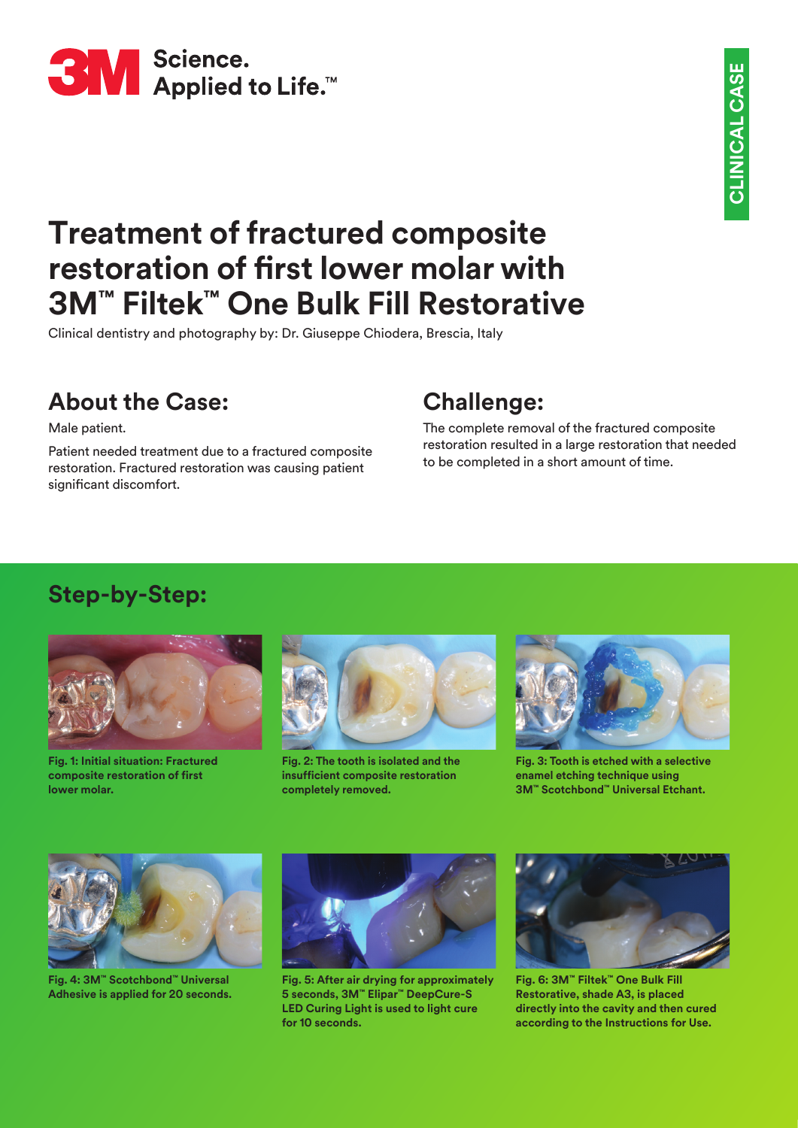

# **Treatment of fractured composite restoration of first lower molar with 3M™ Filtek™ One Bulk Fill Restorative**

Clinical dentistry and photography by: Dr. Giuseppe Chiodera, Brescia, Italy

# **About the Case:**

Male patient.

Patient needed treatment due to a fractured composite restoration. Fractured restoration was causing patient significant discomfort.

## **Challenge:**

The complete removal of the fractured composite restoration resulted in a large restoration that needed to be completed in a short amount of time.

#### **Step-by-Step:**



**Fig. 1: Initial situation: Fractured composite restoration of first lower molar.**



**Fig. 2: The tooth is isolated and the insufficient composite restoration completely removed.**



**Fig. 3: Tooth is etched with a selective enamel etching technique using 3M™ Scotchbond™ Universal Etchant.**



**Fig. 4: 3M™ Scotchbond™ Universal Adhesive is applied for 20 seconds.**



**Fig. 5: After air drying for approximately 5 seconds, 3M™ Elipar™ DeepCure-S LED Curing Light is used to light cure for 10 seconds.**



**Fig. 6: 3M™ Filtek™ One Bulk Fill Restorative, shade A3, is placed directly into the cavity and then cured according to the Instructions for Use.**